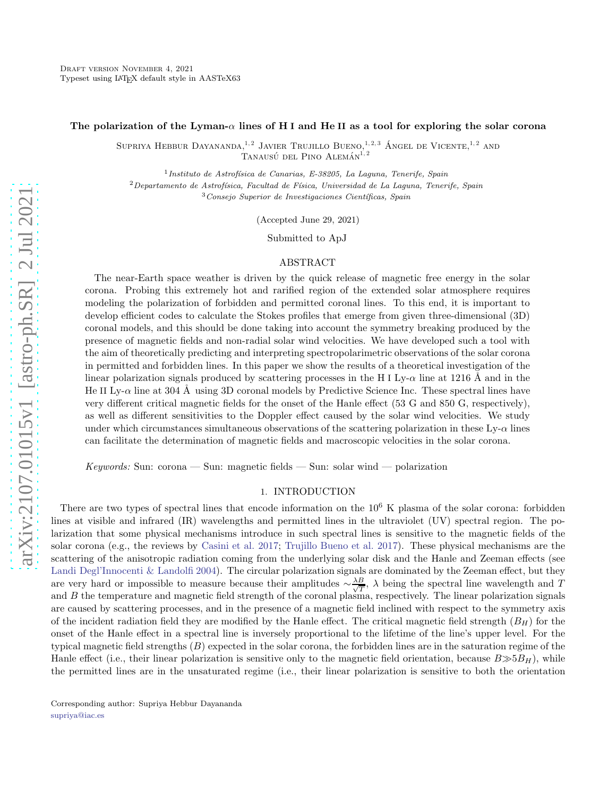#### The polarization of the Lyman- $\alpha$  lines of H I and He II as a tool for exploring the solar corona

SUPRIYA HEBBUR DAYANANDA,<sup>1,2</sup> JAVIER TRUJILLO BUENO,<sup>1,2,3</sup> ÁNGEL DE VICENTE,<sup>1,2</sup> AND TANAUSÚ DEL PINO ALEMÁN $^{1, 2}$ 

 $<sup>1</sup>$ Instituto de Astrofísica de Canarias, E-38205, La Laguna, Tenerife, Spain</sup>

 $2$ Departamento de Astrofísica, Facultad de Física, Universidad de La Laguna, Tenerife, Spain

 $3$ Consejo Superior de Investigaciones Científicas, Spain

(Accepted June 29, 2021)

Submitted to ApJ

### ABSTRACT

The near-Earth space weather is driven by the quick release of magnetic free energy in the solar corona. Probing this extremely hot and rarified region of the extended solar atmosphere requires modeling the polarization of forbidden and permitted coronal lines. To this end, it is important to develop efficient codes to calculate the Stokes profiles that emerge from given three-dimensional (3D) coronal models, and this should be done taking into account the symmetry breaking produced by the presence of magnetic fields and non-radial solar wind velocities. We have developed such a tool with the aim of theoretically predicting and interpreting spectropolarimetric observations of the solar corona in permitted and forbidden lines. In this paper we show the results of a theoretical investigation of the linear polarization signals produced by scattering processes in the H I Ly- $\alpha$  line at 1216 Å and in the He II Ly- $\alpha$  line at 304 Å using 3D coronal models by Predictive Science Inc. These spectral lines have very different critical magnetic fields for the onset of the Hanle effect (53 G and 850 G, respectively), as well as different sensitivities to the Doppler effect caused by the solar wind velocities. We study under which circumstances simultaneous observations of the scattering polarization in these  $Ly-\alpha$  lines can facilitate the determination of magnetic fields and macroscopic velocities in the solar corona.

 $Keywords: Sun: corona — Sun: magnetic fields — Sun: solar wind — polarization$ 

## 1. INTRODUCTION

There are two types of spectral lines that encode information on the  $10^6$  K plasma of the solar corona: forbidden lines at visible and infrared (IR) wavelengths and permitted lines in the ultraviolet (UV) spectral region. The polarization that some physical mechanisms introduce in such spectral lines is sensitive to the magnetic fields of the solar corona (e.g., the reviews by [Casini et al. 2017;](#page-7-0) [Trujillo Bueno et al. 2017\)](#page-8-0). These physical mechanisms are the scattering of the anisotropic radiation coming from the underlying solar disk and the Hanle and Zeeman effects (see [Landi Degl'Innocenti & Landolfi 2004\)](#page-8-1). The circular polarization signals are dominated by the Zeeman effect, but they are very hard or impossible to measure because their amplitudes  $\sim \frac{\lambda B}{\sqrt{7}}$  $\frac{B}{T}$ ,  $\lambda$  being the spectral line wavelength and T and  $B$  the temperature and magnetic field strength of the coronal plasma, respectively. The linear polarization signals are caused by scattering processes, and in the presence of a magnetic field inclined with respect to the symmetry axis of the incident radiation field they are modified by the Hanle effect. The critical magnetic field strength  $(B_H)$  for the onset of the Hanle effect in a spectral line is inversely proportional to the lifetime of the line's upper level. For the typical magnetic field strengths (B) expected in the solar corona, the forbidden lines are in the saturation regime of the Hanle effect (i.e., their linear polarization is sensitive only to the magnetic field orientation, because  $B \gg 5B_H$ ), while the permitted lines are in the unsaturated regime (i.e., their linear polarization is sensitive to both the orientation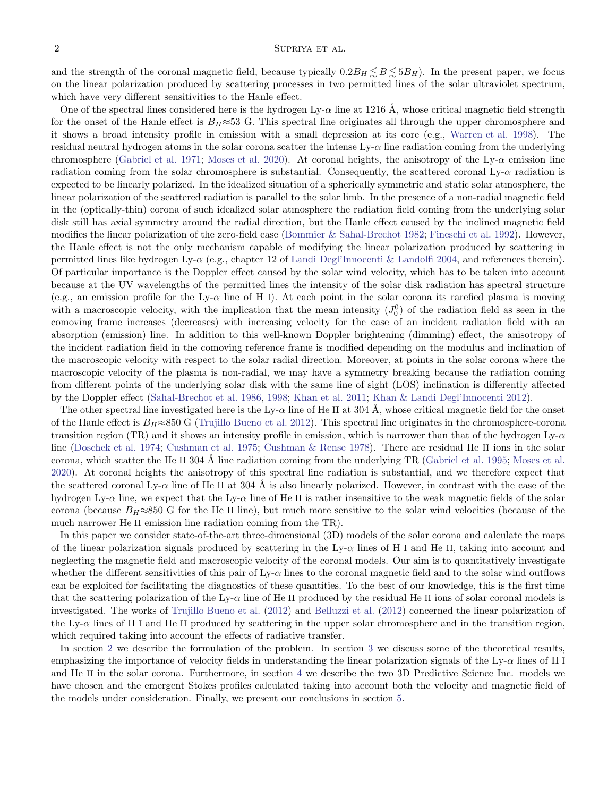## $2$  SUPRIYA ET AL.

and the strength of the coronal magnetic field, because typically  $0.2B_H \leq B \leq 5B_H$ ). In the present paper, we focus on the linear polarization produced by scattering processes in two permitted lines of the solar ultraviolet spectrum, which have very different sensitivities to the Hanle effect.

One of the spectral lines considered here is the hydrogen Ly- $\alpha$  line at 1216 Å, whose critical magnetic field strength for the onset of the Hanle effect is  $B_H \approx 53$  G. This spectral line originates all through the upper chromosphere and it shows a broad intensity profile in emission with a small depression at its core (e.g., [Warren et al. 1998\)](#page-8-2). The residual neutral hydrogen atoms in the solar corona scatter the intense Ly- $\alpha$  line radiation coming from the underlying chromosphere [\(Gabriel et al. 1971;](#page-8-3) [Moses et al. 2020](#page-8-4)). At coronal heights, the anisotropy of the Ly- $\alpha$  emission line radiation coming from the solar chromosphere is substantial. Consequently, the scattered coronal Ly- $\alpha$  radiation is expected to be linearly polarized. In the idealized situation of a spherically symmetric and static solar atmosphere, the linear polarization of the scattered radiation is parallel to the solar limb. In the presence of a non-radial magnetic field in the (optically-thin) corona of such idealized solar atmosphere the radiation field coming from the underlying solar disk still has axial symmetry around the radial direction, but the Hanle effect caused by the inclined magnetic field modifies the linear polarization of the zero-field case [\(Bommier & Sahal-Brechot 1982;](#page-7-1) [Fineschi et al. 1992\)](#page-8-5). However, the Hanle effect is not the only mechanism capable of modifying the linear polarization produced by scattering in permitted lines like hydrogen Ly- $\alpha$  (e.g., chapter 12 of [Landi Degl'Innocenti & Landolfi 2004](#page-8-1), and references therein). Of particular importance is the Doppler effect caused by the solar wind velocity, which has to be taken into account because at the UV wavelengths of the permitted lines the intensity of the solar disk radiation has spectral structure (e.g., an emission profile for the Ly- $\alpha$  line of H I). At each point in the solar corona its rarefied plasma is moving with a macroscopic velocity, with the implication that the mean intensity  $(J_0^0)$  of the radiation field as seen in the comoving frame increases (decreases) with increasing velocity for the case of an incident radiation field with an absorption (emission) line. In addition to this well-known Doppler brightening (dimming) effect, the anisotropy of the incident radiation field in the comoving reference frame is modified depending on the modulus and inclination of the macroscopic velocity with respect to the solar radial direction. Moreover, at points in the solar corona where the macroscopic velocity of the plasma is non-radial, we may have a symmetry breaking because the radiation coming from different points of the underlying solar disk with the same line of sight (LOS) inclination is differently affected by the Doppler effect [\(Sahal-Brechot et al. 1986,](#page-8-6) [1998;](#page-8-7) [Khan et al. 2011;](#page-8-8) [Khan & Landi Degl'Innocenti 2012\)](#page-8-9).

The other spectral line investigated here is the Ly- $\alpha$  line of He II at 304 Å, whose critical magnetic field for the onset of the Hanle effect is  $B_H \approx 850$  G [\(Trujillo Bueno et al. 2012\)](#page-8-10). This spectral line originates in the chromosphere-corona transition region (TR) and it shows an intensity profile in emission, which is narrower than that of the hydrogen  $Ly-\alpha$ line [\(Doschek et al. 1974](#page-7-2); [Cushman et al. 1975;](#page-7-3) [Cushman & Rense 1978\)](#page-7-4). There are residual He II ions in the solar corona, which scatter the He II 304 Å line radiation coming from the underlying TR [\(Gabriel et al. 1995](#page-8-11); [Moses et al.](#page-8-4) [2020\)](#page-8-4). At coronal heights the anisotropy of this spectral line radiation is substantial, and we therefore expect that the scattered coronal Ly- $\alpha$  line of He II at 304 Å is also linearly polarized. However, in contrast with the case of the hydrogen Ly- $\alpha$  line, we expect that the Ly- $\alpha$  line of He II is rather insensitive to the weak magnetic fields of the solar corona (because  $B_H \approx 850$  G for the He II line), but much more sensitive to the solar wind velocities (because of the much narrower He II emission line radiation coming from the TR).

In this paper we consider state-of-the-art three-dimensional (3D) models of the solar corona and calculate the maps of the linear polarization signals produced by scattering in the Ly- $\alpha$  lines of H I and He II, taking into account and neglecting the magnetic field and macroscopic velocity of the coronal models. Our aim is to quantitatively investigate whether the different sensitivities of this pair of  $Ly-\alpha$  lines to the coronal magnetic field and to the solar wind outflows can be exploited for facilitating the diagnostics of these quantities. To the best of our knowledge, this is the first time that the scattering polarization of the Ly- $\alpha$  line of He II produced by the residual He II ions of solar coronal models is investigated. The works of [Trujillo Bueno et al.](#page-8-10) [\(2012](#page-8-10)) and [Belluzzi et al.](#page-7-5) [\(2012\)](#page-7-5) concerned the linear polarization of the Ly- $\alpha$  lines of H I and He II produced by scattering in the upper solar chromosphere and in the transition region, which required taking into account the effects of radiative transfer.

In section [2](#page-2-0) we describe the formulation of the problem. In section [3](#page-3-0) we discuss some of the theoretical results, emphasizing the importance of velocity fields in understanding the linear polarization signals of the  $Ly-\alpha$  lines of H I and He II in the solar corona. Furthermore, in section [4](#page-4-0) we describe the two 3D Predictive Science Inc. models we have chosen and the emergent Stokes profiles calculated taking into account both the velocity and magnetic field of the models under consideration. Finally, we present our conclusions in section [5.](#page-6-0)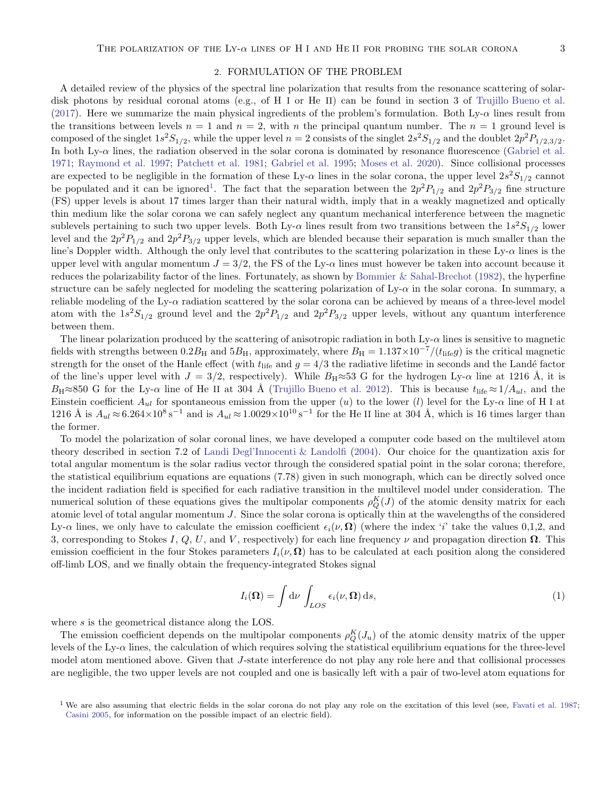#### 2. FORMULATION OF THE PROBLEM

<span id="page-2-0"></span>A detailed review of the physics of the spectral line polarization that results from the resonance scattering of solar-disk photons by residual coronal atoms (e.g., of H I or He II) can be found in section 3 of [Trujillo Bueno et al.](#page-8-0) [\(2017\)](#page-8-0). Here we summarize the main physical ingredients of the problem's formulation. Both Ly- $\alpha$  lines result from the transitions between levels  $n = 1$  and  $n = 2$ , with n the principal quantum number. The  $n = 1$  ground level is composed of the singlet  $1s^2S_{1/2}$ , while the upper level  $n=2$  consists of the singlet  $2s^2S_{1/2}$  and the doublet  $2p^2P_{1/2,3/2}$ . In both Ly- $\alpha$  lines, the radiation observed in the solar corona is dominated by resonance fluorescence [\(Gabriel et al.](#page-8-3) [1971;](#page-8-3) [Raymond et al. 1997;](#page-8-12) [Patchett et al. 1981;](#page-8-13) [Gabriel et al. 1995;](#page-8-11) [Moses et al. 2020\)](#page-8-4). Since collisional processes are expected to be negligible in the formation of these Ly- $\alpha$  lines in the solar corona, the upper level  $2s^2S_{1/2}$  cannot be populated and it can be ignored<sup>[1](#page-2-1)</sup>. The fact that the separation between the  $2p^2P_{1/2}$  and  $2p^2P_{3/2}$  fine structure (FS) upper levels is about 17 times larger than their natural width, imply that in a weakly magnetized and optically thin medium like the solar corona we can safely neglect any quantum mechanical interference between the magnetic sublevels pertaining to such two upper levels. Both Ly- $\alpha$  lines result from two transitions between the  $1s^2S_{1/2}$  lower level and the  $2p^2P_{1/2}$  and  $2p^2P_{3/2}$  upper levels, which are blended because their separation is much smaller than the line's Doppler width. Although the only level that contributes to the scattering polarization in these Ly-α lines is the upper level with angular momentum  $J = 3/2$ , the FS of the Ly- $\alpha$  lines must however be taken into account because it reduces the polarizability factor of the lines. Fortunately, as shown by [Bommier & Sahal-Brechot](#page-7-1) [\(1982\)](#page-7-1), the hyperfine structure can be safely neglected for modeling the scattering polarization of  $Ly-\alpha$  in the solar corona. In summary, a reliable modeling of the Ly- $\alpha$  radiation scattered by the solar corona can be achieved by means of a three-level model atom with the  $1s^2S_{1/2}$  ground level and the  $2p^2P_{1/2}$  and  $2p^2P_{3/2}$  upper levels, without any quantum interference between them.

The linear polarization produced by the scattering of anisotropic radiation in both  $Ly-\alpha$  lines is sensitive to magnetic fields with strengths between  $0.2B_H$  and  $5B_H$ , approximately, where  $B_H = 1.137 \times 10^{-7}/(t_{\text{life}}g)$  is the critical magnetic strength for the onset of the Hanle effect (with  $t_{\text{life}}$  and  $g = 4/3$  the radiative lifetime in seconds and the Landé factor of the line's upper level with  $J = 3/2$ , respectively). While  $B_H \approx 53$  G for the hydrogen Ly- $\alpha$  line at 1216 Å, it is  $B_H \approx 850$  G for the Ly- $\alpha$  line of He II at 304 Å [\(Trujillo Bueno et al. 2012\)](#page-8-10). This is because  $t_{\text{life}} \approx 1/A_{ul}$ , and the Einstein coefficient  $A_{ul}$  for spontaneous emission from the upper (u) to the lower (l) level for the Ly- $\alpha$  line of H I at  $1216 \text{ Å}$  is  $A_{ul} \approx 6.264 \times 10^8 \text{ s}^{-1}$  and is  $A_{ul} \approx 1.0029 \times 10^{10} \text{ s}^{-1}$  for the He II line at 304 Å, which is 16 times larger than the former.

To model the polarization of solar coronal lines, we have developed a computer code based on the multilevel atom theory described in section 7.2 of [Landi Degl'Innocenti & Landolfi](#page-8-1) [\(2004](#page-8-1)). Our choice for the quantization axis for total angular momentum is the solar radius vector through the considered spatial point in the solar corona; therefore, the statistical equilibrium equations are equations (7.78) given in such monograph, which can be directly solved once the incident radiation field is specified for each radiative transition in the multilevel model under consideration. The numerical solution of these equations gives the multipolar components  $\rho_Q^K(J)$  of the atomic density matrix for each atomic level of total angular momentum  $J$ . Since the solar corona is optically thin at the wavelengths of the considered Ly- $\alpha$  lines, we only have to calculate the emission coefficient  $\epsilon_i(\nu, \Omega)$  (where the index 'i' take the values 0,1,2, and 3, corresponding to Stokes I, Q, U, and V, respectively) for each line frequency  $\nu$  and propagation direction  $\Omega$ . This emission coefficient in the four Stokes parameters  $I_i(\nu, \Omega)$  has to be calculated at each position along the considered off-limb LOS, and we finally obtain the frequency-integrated Stokes signal

$$
I_i(\mathbf{\Omega}) = \int \mathrm{d}\nu \int_{LOS} \epsilon_i(\nu, \mathbf{\Omega}) \, \mathrm{d}s,\tag{1}
$$

where s is the geometrical distance along the LOS.

The emission coefficient depends on the multipolar components  $\rho_Q^K(J_u)$  of the atomic density matrix of the upper levels of the Ly- $\alpha$  lines, the calculation of which requires solving the statistical equilibrium equations for the three-level model atom mentioned above. Given that J-state interference do not play any role here and that collisional processes are negligible, the two upper levels are not coupled and one is basically left with a pair of two-level atom equations for

<span id="page-2-1"></span><sup>&</sup>lt;sup>1</sup> We are also assuming that electric fields in the solar corona do not play any role on the excitation of this level (see, [Favati et al. 1987](#page-7-6); [Casini 2005](#page-7-7), for information on the possible impact of an electric field).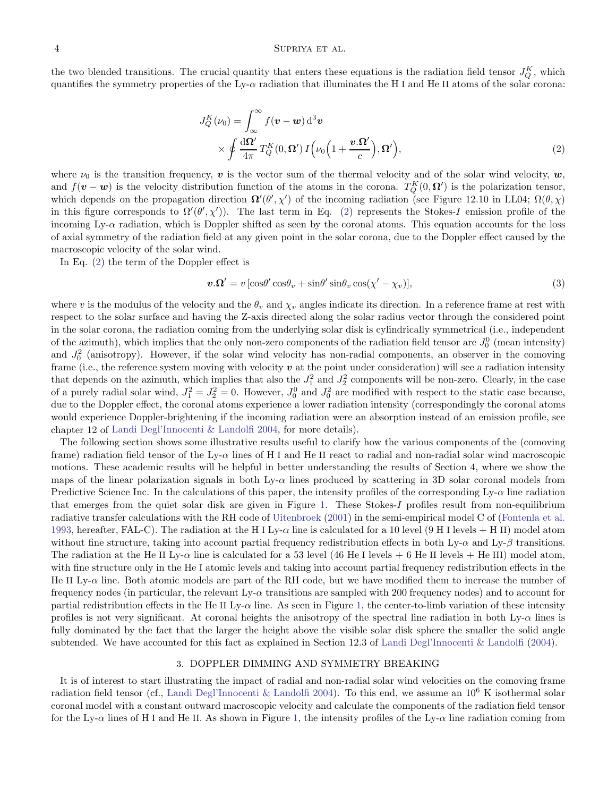the two blended transitions. The crucial quantity that enters these equations is the radiation field tensor  $J_Q^K$ , which quantifies the symmetry properties of the Ly- $\alpha$  radiation that illuminates the H I and He II atoms of the solar corona:

<span id="page-3-1"></span>
$$
J_Q^K(\nu_0) = \int_{\infty}^{\infty} f(\mathbf{v} - \mathbf{w}) d^3 \mathbf{v}
$$
  
 
$$
\times \oint \frac{d\Omega'}{4\pi} T_Q^K(0, \Omega') I(\nu_0 \left(1 + \frac{\mathbf{v}.\Omega'}{c}\right), \Omega'),
$$
 (2)

where  $\nu_0$  is the transition frequency, v is the vector sum of the thermal velocity and of the solar wind velocity,  $w$ , and  $f(\mathbf{v} - \mathbf{w})$  is the velocity distribution function of the atoms in the corona.  $T_Q^K(0, \Omega')$  is the polarization tensor, which depends on the propagation direction  $\Omega'(\theta', \chi')$  of the incoming radiation (see Figure 12.10 in LL04;  $\Omega(\theta, \chi)$ ) in this figure corresponds to  $\Omega'(\theta', \chi')$ . The last term in Eq. [\(2\)](#page-3-1) represents the Stokes-I emission profile of the incoming Ly- $\alpha$  radiation, which is Doppler shifted as seen by the coronal atoms. This equation accounts for the loss of axial symmetry of the radiation field at any given point in the solar corona, due to the Doppler effect caused by the macroscopic velocity of the solar wind.

In Eq. [\(2\)](#page-3-1) the term of the Doppler effect is

$$
\mathbf{v}.\mathbf{\Omega}' = v\left[\cos\theta'\cos\theta_v + \sin\theta'\sin\theta_v\cos(\chi'-\chi_v)\right],\tag{3}
$$

where v is the modulus of the velocity and the  $\theta_v$  and  $\chi_v$  angles indicate its direction. In a reference frame at rest with respect to the solar surface and having the Z-axis directed along the solar radius vector through the considered point in the solar corona, the radiation coming from the underlying solar disk is cylindrically symmetrical (i.e., independent of the azimuth), which implies that the only non-zero components of the radiation field tensor are  $J_0^0$  (mean intensity) and  $J_0^2$  (anisotropy). However, if the solar wind velocity has non-radial components, an observer in the comoving frame (i.e., the reference system moving with velocity  $v$  at the point under consideration) will see a radiation intensity that depends on the azimuth, which implies that also the  $J_1^2$  and  $J_2^2$  components will be non-zero. Clearly, in the case of a purely radial solar wind,  $J_1^2 = J_2^2 = 0$ . However,  $J_0^0$  and  $J_0^2$  are modified with respect to the static case because, due to the Doppler effect, the coronal atoms experience a lower radiation intensity (correspondingly the coronal atoms would experience Doppler-brightening if the incoming radiation were an absorption instead of an emission profile, see chapter 12 of [Landi Degl'Innocenti & Landolfi 2004,](#page-8-1) for more details).

The following section shows some illustrative results useful to clarify how the various components of the (comoving frame) radiation field tensor of the Ly-α lines of H I and He II react to radial and non-radial solar wind macroscopic motions. These academic results will be helpful in better understanding the results of Section 4, where we show the maps of the linear polarization signals in both Ly- $\alpha$  lines produced by scattering in 3D solar coronal models from Predictive Science Inc. In the calculations of this paper, the intensity profiles of the corresponding  $Ly-\alpha$  line radiation that emerges from the quiet solar disk are given in Figure [1.](#page-9-0) These Stokes-I profiles result from non-equilibrium radiative transfer calculations with the RH code of [Uitenbroek](#page-8-14) [\(2001\)](#page-8-14) in the semi-empirical model C of [\(Fontenla et al.](#page-8-15) [1993,](#page-8-15) hereafter, FAL-C). The radiation at the H I Ly- $\alpha$  line is calculated for a 10 level (9 H I levels + H II) model atom without fine structure, taking into account partial frequency redistribution effects in both Ly- $\alpha$  and Ly- $\beta$  transitions. The radiation at the He II Ly- $\alpha$  line is calculated for a 53 level (46 He I levels + 6 He II levels + He III) model atom, with fine structure only in the He I atomic levels and taking into account partial frequency redistribution effects in the He II Ly- $\alpha$  line. Both atomic models are part of the RH code, but we have modified them to increase the number of frequency nodes (in particular, the relevant Ly-α transitions are sampled with 200 frequency nodes) and to account for partial redistribution effects in the He II Ly- $\alpha$  line. As seen in Figure [1,](#page-9-0) the center-to-limb variation of these intensity profiles is not very significant. At coronal heights the anisotropy of the spectral line radiation in both Ly- $\alpha$  lines is fully dominated by the fact that the larger the height above the visible solar disk sphere the smaller the solid angle subtended. We have accounted for this fact as explained in Section 12.3 of [Landi Degl'Innocenti & Landolfi](#page-8-1) [\(2004\)](#page-8-1).

### 3. DOPPLER DIMMING AND SYMMETRY BREAKING

<span id="page-3-0"></span>It is of interest to start illustrating the impact of radial and non-radial solar wind velocities on the comoving frame radiation field tensor (cf., [Landi Degl'Innocenti & Landolfi 2004](#page-8-1)). To this end, we assume an  $10^6$  K isothermal solar coronal model with a constant outward macroscopic velocity and calculate the components of the radiation field tensor for the Ly- $\alpha$  lines of H I and He II. As shown in Figure [1,](#page-9-0) the intensity profiles of the Ly- $\alpha$  line radiation coming from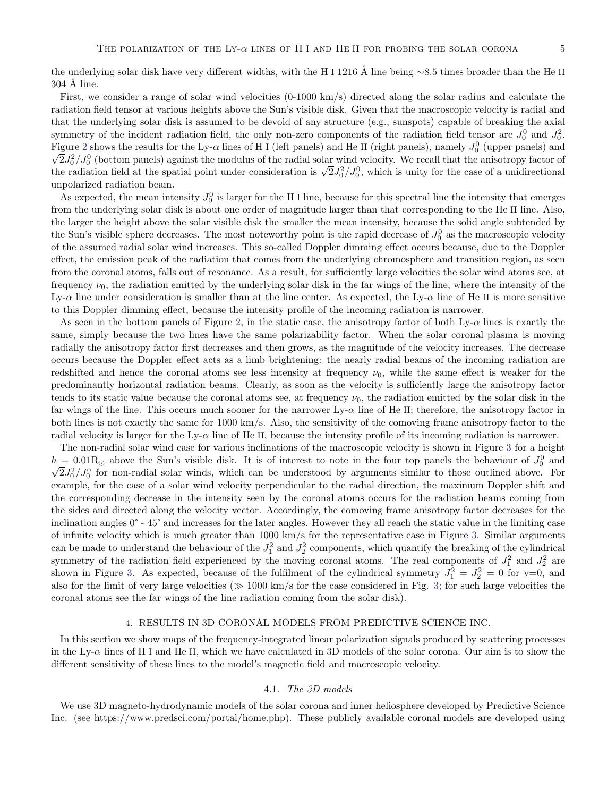the underlying solar disk have very different widths, with the H I 1216 Å line being ∼8.5 times broader than the He II  $304 \text{ Å}$  line.

First, we consider a range of solar wind velocities (0-1000 km/s) directed along the solar radius and calculate the radiation field tensor at various heights above the Sun's visible disk. Given that the macroscopic velocity is radial and that the underlying solar disk is assumed to be devoid of any structure (e.g., sunspots) capable of breaking the axial symmetry of the incident radiation field, the only non-zero components of the radiation field tensor are  $J_0^0$  and  $J_0^2$ . Figure [2](#page-10-0) shows the results for the Ly- $\alpha$  lines of H I (left panels) and He II (right panels), namely  $J_0^0$  (upper panels) and  $\sqrt{2}J_0^2/J_0^0$  (bottom panels) against the modulus of the radial solar wind velocity. We recall that the anisotropy factor of the radiation field at the spatial point under consideration is  $\sqrt{2}J_0^2/J_0^0$ , which is unity for the case of a unidirectional unpolarized radiation beam.

As expected, the mean intensity  $J_0^0$  is larger for the H I line, because for this spectral line the intensity that emerges from the underlying solar disk is about one order of magnitude larger than that corresponding to the He II line. Also, the larger the height above the solar visible disk the smaller the mean intensity, because the solid angle subtended by the Sun's visible sphere decreases. The most noteworthy point is the rapid decrease of  $J_0^0$  as the macroscopic velocity of the assumed radial solar wind increases. This so-called Doppler dimming effect occurs because, due to the Doppler effect, the emission peak of the radiation that comes from the underlying chromosphere and transition region, as seen from the coronal atoms, falls out of resonance. As a result, for sufficiently large velocities the solar wind atoms see, at frequency  $\nu_0$ , the radiation emitted by the underlying solar disk in the far wings of the line, where the intensity of the Ly- $\alpha$  line under consideration is smaller than at the line center. As expected, the Ly- $\alpha$  line of He II is more sensitive to this Doppler dimming effect, because the intensity profile of the incoming radiation is narrower.

As seen in the bottom panels of Figure [2,](#page-10-0) in the static case, the anisotropy factor of both  $Ly-\alpha$  lines is exactly the same, simply because the two lines have the same polarizability factor. When the solar coronal plasma is moving radially the anisotropy factor first decreases and then grows, as the magnitude of the velocity increases. The decrease occurs because the Doppler effect acts as a limb brightening: the nearly radial beams of the incoming radiation are redshifted and hence the coronal atoms see less intensity at frequency  $\nu_0$ , while the same effect is weaker for the predominantly horizontal radiation beams. Clearly, as soon as the velocity is sufficiently large the anisotropy factor tends to its static value because the coronal atoms see, at frequency  $\nu_0$ , the radiation emitted by the solar disk in the far wings of the line. This occurs much sooner for the narrower  $Ly-\alpha$  line of He II; therefore, the anisotropy factor in both lines is not exactly the same for 1000 km/s. Also, the sensitivity of the comoving frame anisotropy factor to the radial velocity is larger for the Ly- $\alpha$  line of He II, because the intensity profile of its incoming radiation is narrower.

The non-radial solar wind case for various inclinations of the macroscopic velocity is shown in Figure [3](#page-11-0) for a height  $h = 0.01 R_{\odot}$  above the Sun's visible disk. It is of interest to note in the four top panels the behaviour of  $J_0^0$  and  $\sqrt{2}J_0^2/J_0^0$  for non-radial solar winds, which can be understood by arguments similar to those outlined above. For example, for the case of a solar wind velocity perpendicular to the radial direction, the maximum Doppler shift and the corresponding decrease in the intensity seen by the coronal atoms occurs for the radiation beams coming from the sides and directed along the velocity vector. Accordingly, the comoving frame anisotropy factor decreases for the inclination angles 0° - 45° and increases for the later angles. However they all reach the static value in the limiting case of infinite velocity which is much greater than 1000 km/s for the representative case in Figure [3.](#page-11-0) Similar arguments can be made to understand the behaviour of the  $J_1^2$  and  $J_2^2$  components, which quantify the breaking of the cylindrical symmetry of the radiation field experienced by the moving coronal atoms. The real components of  $J_1^2$  and  $J_2^2$  are shown in Figure [3.](#page-11-0) As expected, because of the fulfilment of the cylindrical symmetry  $J_1^2 = J_2^2 = 0$  for v=0, and also for the limit of very large velocities ( $\gg 1000 \text{ km/s}$  for the case considered in Fig. [3;](#page-11-0) for such large velocities the coronal atoms see the far wings of the line radiation coming from the solar disk).

#### 4. RESULTS IN 3D CORONAL MODELS FROM PREDICTIVE SCIENCE INC.

<span id="page-4-0"></span>In this section we show maps of the frequency-integrated linear polarization signals produced by scattering processes in the Ly- $\alpha$  lines of H I and He II, which we have calculated in 3D models of the solar corona. Our aim is to show the different sensitivity of these lines to the model's magnetic field and macroscopic velocity.

# 4.1. The 3D models

We use 3D magneto-hydrodynamic models of the solar corona and inner heliosphere developed by Predictive Science Inc. (see https://www.predsci.com/portal/home.php). These publicly available coronal models are developed using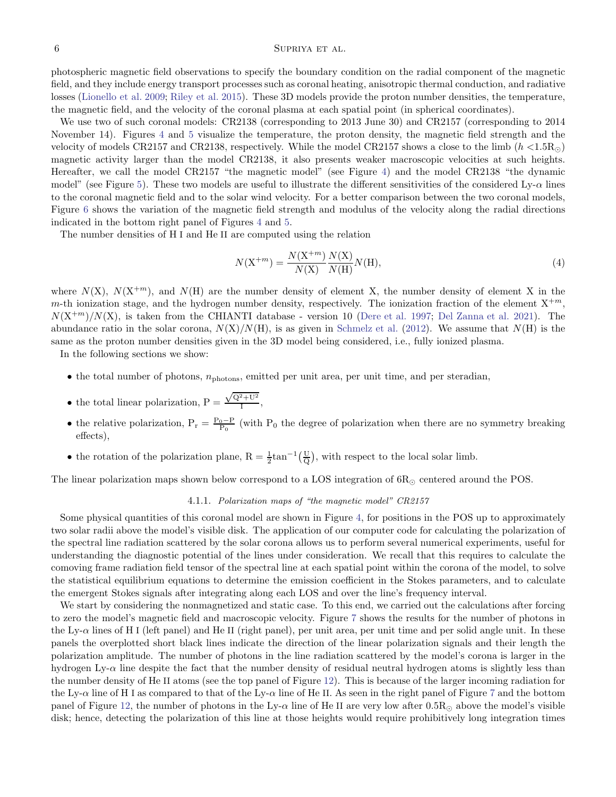#### 6 SUPRIYA ET AL.

photospheric magnetic field observations to specify the boundary condition on the radial component of the magnetic field, and they include energy transport processes such as coronal heating, anisotropic thermal conduction, and radiative losses [\(Lionello et al. 2009;](#page-8-16) [Riley et al. 2015](#page-8-17)). These 3D models provide the proton number densities, the temperature, the magnetic field, and the velocity of the coronal plasma at each spatial point (in spherical coordinates).

We use two of such coronal models: CR2138 (corresponding to 2013 June 30) and CR2157 (corresponding to 2014 November 14). Figures [4](#page-12-0) and [5](#page-13-0) visualize the temperature, the proton density, the magnetic field strength and the velocity of models CR2157 and CR2138, respectively. While the model CR2157 shows a close to the limb  $(h < 1.5R<sub>o</sub>)$ magnetic activity larger than the model CR2138, it also presents weaker macroscopic velocities at such heights. Hereafter, we call the model CR2157 "the magnetic model" (see Figure [4\)](#page-12-0) and the model CR2138 "the dynamic model" (see Figure [5\)](#page-13-0). These two models are useful to illustrate the different sensitivities of the considered  $Ly-\alpha$  lines to the coronal magnetic field and to the solar wind velocity. For a better comparison between the two coronal models, Figure [6](#page-13-1) shows the variation of the magnetic field strength and modulus of the velocity along the radial directions indicated in the bottom right panel of Figures [4](#page-12-0) and [5.](#page-13-0)

The number densities of H I and He II are computed using the relation

$$
N(\mathbf{X}^{+m}) = \frac{N(\mathbf{X}^{+m})}{N(\mathbf{X})} \frac{N(\mathbf{X})}{N(\mathbf{H})} N(\mathbf{H}),
$$
\n(4)

where  $N(X)$ ,  $N(X+m)$ , and  $N(H)$  are the number density of element X, the number density of element X in the m-th ionization stage, and the hydrogen number density, respectively. The ionization fraction of the element  $X^{+m}$ ,  $N(X^{+m})/N(X)$ , is taken from the CHIANTI database - version 10 [\(Dere et al. 1997;](#page-7-8) [Del Zanna et al. 2021\)](#page-7-9). The abundance ratio in the solar corona,  $N(X)/N(H)$ , is as given in [Schmelz et al.](#page-8-18) [\(2012](#page-8-18)). We assume that  $N(H)$  is the same as the proton number densities given in the 3D model being considered, i.e., fully ionized plasma.

In the following sections we show:

- $\bullet$  the total number of photons,  $n_{\text{photons}}$ , emitted per unit area, per unit time, and per steradian,
- the total linear polarization,  $P = \frac{\sqrt{Q^2 + U^2}}{I}$  $\frac{1}{1}$ ,
- the relative polarization,  $P_r = \frac{P_0 P}{P_0}$  (with  $P_0$  the degree of polarization when there are no symmetry breaking effects),
- the rotation of the polarization plane,  $R = \frac{1}{2} \tan^{-1}(\frac{U}{Q})$ , with respect to the local solar limb.

The linear polarization maps shown below correspond to a LOS integration of  $6R_{\odot}$  centered around the POS.

## 4.1.1. Polarization maps of "the magnetic model" CR2157

Some physical quantities of this coronal model are shown in Figure [4,](#page-12-0) for positions in the POS up to approximately two solar radii above the model's visible disk. The application of our computer code for calculating the polarization of the spectral line radiation scattered by the solar corona allows us to perform several numerical experiments, useful for understanding the diagnostic potential of the lines under consideration. We recall that this requires to calculate the comoving frame radiation field tensor of the spectral line at each spatial point within the corona of the model, to solve the statistical equilibrium equations to determine the emission coefficient in the Stokes parameters, and to calculate the emergent Stokes signals after integrating along each LOS and over the line's frequency interval.

We start by considering the nonmagnetized and static case. To this end, we carried out the calculations after forcing to zero the model's magnetic field and macroscopic velocity. Figure [7](#page-14-0) shows the results for the number of photons in the Ly- $\alpha$  lines of H I (left panel) and He II (right panel), per unit area, per unit time and per solid angle unit. In these panels the overplotted short black lines indicate the direction of the linear polarization signals and their length the polarization amplitude. The number of photons in the line radiation scattered by the model's corona is larger in the hydrogen Ly- $\alpha$  line despite the fact that the number density of residual neutral hydrogen atoms is slightly less than the number density of He II atoms (see the top panel of Figure [12\)](#page-17-0). This is because of the larger incoming radiation for the Ly- $\alpha$  line of H I as compared to that of the Ly- $\alpha$  line of He II. As seen in the right panel of Figure [7](#page-14-0) and the bottom panel of Figure [12,](#page-17-0) the number of photons in the Ly- $\alpha$  line of He II are very low after 0.5R<sub> $\odot$ </sub> above the model's visible disk; hence, detecting the polarization of this line at those heights would require prohibitively long integration times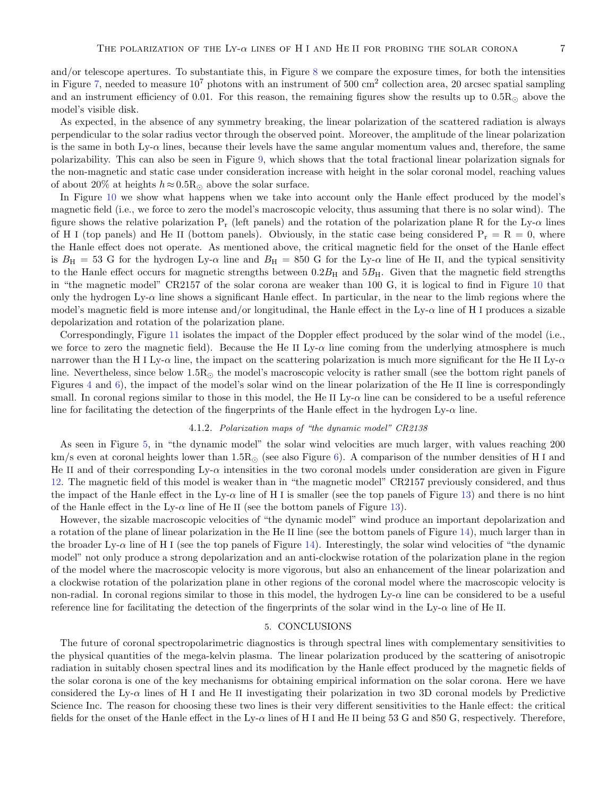and/or telescope apertures. To substantiate this, in Figure [8](#page-14-1) we compare the exposure times, for both the intensities in Figure [7,](#page-14-0) needed to measure  $10^7$  photons with an instrument of 500 cm<sup>2</sup> collection area, 20 arcsec spatial sampling and an instrument efficiency of 0.01. For this reason, the remaining figures show the results up to  $0.5R<sub>©</sub>$  above the model's visible disk.

As expected, in the absence of any symmetry breaking, the linear polarization of the scattered radiation is always perpendicular to the solar radius vector through the observed point. Moreover, the amplitude of the linear polarization is the same in both Ly- $\alpha$  lines, because their levels have the same angular momentum values and, therefore, the same polarizability. This can also be seen in Figure [9,](#page-14-2) which shows that the total fractional linear polarization signals for the non-magnetic and static case under consideration increase with height in the solar coronal model, reaching values of about 20% at heights  $h \approx 0.5 R_{\odot}$  above the solar surface.

In Figure [10](#page-15-0) we show what happens when we take into account only the Hanle effect produced by the model's magnetic field (i.e., we force to zero the model's macroscopic velocity, thus assuming that there is no solar wind). The figure shows the relative polarization  $P_r$  (left panels) and the rotation of the polarization plane R for the Ly- $\alpha$  lines of H I (top panels) and He II (bottom panels). Obviously, in the static case being considered  $P_r = R = 0$ , where the Hanle effect does not operate. As mentioned above, the critical magnetic field for the onset of the Hanle effect is  $B_H = 53$  G for the hydrogen Ly- $\alpha$  line and  $B_H = 850$  G for the Ly- $\alpha$  line of He II, and the typical sensitivity to the Hanle effect occurs for magnetic strengths between  $0.2B_H$  and  $5B_H$ . Given that the magnetic field strengths in "the magnetic model" CR2157 of the solar corona are weaker than 100 G, it is logical to find in Figure [10](#page-15-0) that only the hydrogen  $Ly-\alpha$  line shows a significant Hanle effect. In particular, in the near to the limb regions where the model's magnetic field is more intense and/or longitudinal, the Hanle effect in the Ly- $\alpha$  line of H I produces a sizable depolarization and rotation of the polarization plane.

Correspondingly, Figure [11](#page-16-0) isolates the impact of the Doppler effect produced by the solar wind of the model (i.e., we force to zero the magnetic field). Because the He II Ly- $\alpha$  line coming from the underlying atmosphere is much narrower than the H I Ly- $\alpha$  line, the impact on the scattering polarization is much more significant for the He II Ly- $\alpha$ line. Nevertheless, since below 1.5R<sup>⊙</sup> the model's macroscopic velocity is rather small (see the bottom right panels of Figures [4](#page-12-0) and [6\)](#page-13-1), the impact of the model's solar wind on the linear polarization of the He II line is correspondingly small. In coronal regions similar to those in this model, the He II Ly- $\alpha$  line can be considered to be a useful reference line for facilitating the detection of the fingerprints of the Hanle effect in the hydrogen  $Ly-\alpha$  line.

## 4.1.2. Polarization maps of "the dynamic model" CR2138

As seen in Figure [5,](#page-13-0) in "the dynamic model" the solar wind velocities are much larger, with values reaching 200 km/s even at coronal heights lower than  $1.5R<sub>\odot</sub>$  (see also Figure [6\)](#page-13-1). A comparison of the number densities of H I and He II and of their corresponding  $Ly-\alpha$  intensities in the two coronal models under consideration are given in Figure [12.](#page-17-0) The magnetic field of this model is weaker than in "the magnetic model" CR2157 previously considered, and thus the impact of the Hanle effect in the Ly- $\alpha$  line of H I is smaller (see the top panels of Figure [13\)](#page-18-0) and there is no hint of the Hanle effect in the Ly- $\alpha$  line of He II (see the bottom panels of Figure [13\)](#page-18-0).

However, the sizable macroscopic velocities of "the dynamic model" wind produce an important depolarization and a rotation of the plane of linear polarization in the He II line (see the bottom panels of Figure [14\)](#page-19-0), much larger than in the broader Ly- $\alpha$  line of H I (see the top panels of Figure [14\)](#page-19-0). Interestingly, the solar wind velocities of "the dynamic model" not only produce a strong depolarization and an anti-clockwise rotation of the polarization plane in the region of the model where the macroscopic velocity is more vigorous, but also an enhancement of the linear polarization and a clockwise rotation of the polarization plane in other regions of the coronal model where the macroscopic velocity is non-radial. In coronal regions similar to those in this model, the hydrogen Ly- $\alpha$  line can be considered to be a useful reference line for facilitating the detection of the fingerprints of the solar wind in the Ly- $\alpha$  line of He II.

# 5. CONCLUSIONS

<span id="page-6-0"></span>The future of coronal spectropolarimetric diagnostics is through spectral lines with complementary sensitivities to the physical quantities of the mega-kelvin plasma. The linear polarization produced by the scattering of anisotropic radiation in suitably chosen spectral lines and its modification by the Hanle effect produced by the magnetic fields of the solar corona is one of the key mechanisms for obtaining empirical information on the solar corona. Here we have considered the Ly- $\alpha$  lines of H I and He II investigating their polarization in two 3D coronal models by Predictive Science Inc. The reason for choosing these two lines is their very different sensitivities to the Hanle effect: the critical fields for the onset of the Hanle effect in the Ly- $\alpha$  lines of H I and He II being 53 G and 850 G, respectively. Therefore,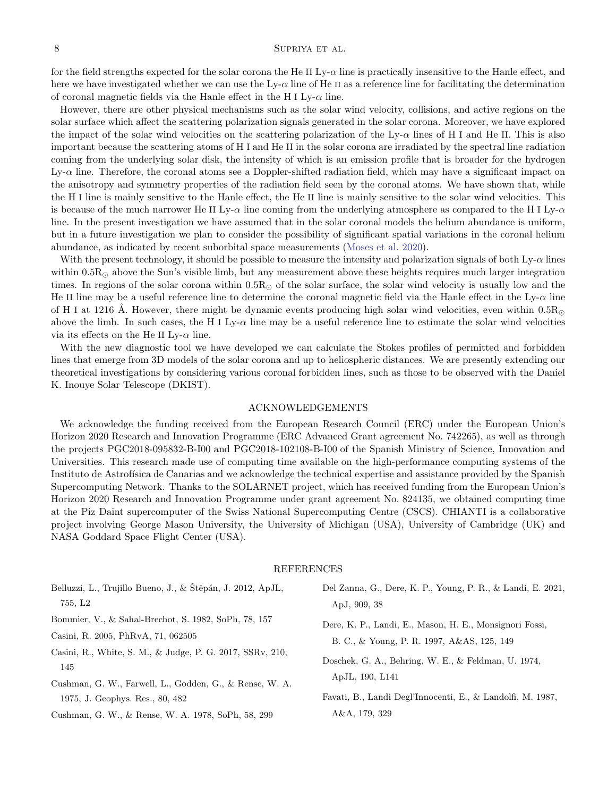## ${\large\bf SupR} \label{eq:3.1} {\large\bf SupR} \text{IYA} \text{ ET AL}.$

for the field strengths expected for the solar corona the He II Ly- $\alpha$  line is practically insensitive to the Hanle effect, and here we have investigated whether we can use the  $Ly-\alpha$  line of He II as a reference line for facilitating the determination of coronal magnetic fields via the Hanle effect in the H I Ly- $\alpha$  line.

However, there are other physical mechanisms such as the solar wind velocity, collisions, and active regions on the solar surface which affect the scattering polarization signals generated in the solar corona. Moreover, we have explored the impact of the solar wind velocities on the scattering polarization of the Ly- $\alpha$  lines of H I and He II. This is also important because the scattering atoms of H I and He II in the solar corona are irradiated by the spectral line radiation coming from the underlying solar disk, the intensity of which is an emission profile that is broader for the hydrogen Ly-α line. Therefore, the coronal atoms see a Doppler-shifted radiation field, which may have a significant impact on the anisotropy and symmetry properties of the radiation field seen by the coronal atoms. We have shown that, while the H I line is mainly sensitive to the Hanle effect, the He II line is mainly sensitive to the solar wind velocities. This is because of the much narrower He II Ly- $\alpha$  line coming from the underlying atmosphere as compared to the H I Ly- $\alpha$ line. In the present investigation we have assumed that in the solar coronal models the helium abundance is uniform, but in a future investigation we plan to consider the possibility of significant spatial variations in the coronal helium abundance, as indicated by recent suborbital space measurements [\(Moses et al. 2020\)](#page-8-4).

With the present technology, it should be possible to measure the intensity and polarization signals of both  $Ly-\alpha$  lines within  $0.5R_{\odot}$  above the Sun's visible limb, but any measurement above these heights requires much larger integration times. In regions of the solar corona within  $0.5R<sub>\odot</sub>$  of the solar surface, the solar wind velocity is usually low and the He II line may be a useful reference line to determine the coronal magnetic field via the Hanle effect in the  $Ly-\alpha$  line of H I at 1216 Å. However, there might be dynamic events producing high solar wind velocities, even within 0.5 $R_{\odot}$ above the limb. In such cases, the H I Ly- $\alpha$  line may be a useful reference line to estimate the solar wind velocities via its effects on the He II Ly- $\alpha$  line.

With the new diagnostic tool we have developed we can calculate the Stokes profiles of permitted and forbidden lines that emerge from 3D models of the solar corona and up to heliospheric distances. We are presently extending our theoretical investigations by considering various coronal forbidden lines, such as those to be observed with the Daniel K. Inouye Solar Telescope (DKIST).

### ACKNOWLEDGEMENTS

We acknowledge the funding received from the European Research Council (ERC) under the European Union's Horizon 2020 Research and Innovation Programme (ERC Advanced Grant agreement No. 742265), as well as through the projects PGC2018-095832-B-I00 and PGC2018-102108-B-I00 of the Spanish Ministry of Science, Innovation and Universities. This research made use of computing time available on the high-performance computing systems of the Instituto de Astrofísica de Canarias and we acknowledge the technical expertise and assistance provided by the Spanish Supercomputing Network. Thanks to the SOLARNET project, which has received funding from the European Union's Horizon 2020 Research and Innovation Programme under grant agreement No. 824135, we obtained computing time at the Piz Daint supercomputer of the Swiss National Supercomputing Centre (CSCS). CHIANTI is a collaborative project involving George Mason University, the University of Michigan (USA), University of Cambridge (UK) and NASA Goddard Space Flight Center (USA).

#### <span id="page-7-9"></span><span id="page-7-8"></span><span id="page-7-6"></span><span id="page-7-2"></span>REFERENCES

<span id="page-7-7"></span><span id="page-7-5"></span><span id="page-7-4"></span><span id="page-7-3"></span><span id="page-7-1"></span><span id="page-7-0"></span>

| 755, L2<br>ApJ, 909, 38<br>Bommier, V., & Sahal-Brechot, S. 1982, SoPh, 78, 157<br>Dere, K. P., Landi, E., Mason, H. E., Monsignori Fossi,<br>Casini, R. 2005, PhRvA, 71, 062505<br>B. C., & Young, P. R. 1997, A&AS, 125, 149<br>Casini, R., White, S. M., & Judge, P. G. 2017, SSRv, 210,<br>Doschek, G. A., Behring, W. E., & Feldman, U. 1974,<br>145<br>ApJL, 190, L141<br>Cushman, G. W., Farwell, L., Godden, G., & Rense, W. A.<br>Favati, B., Landi Degl'Innocenti, E., & Landolfi, M. 1987,<br>1975, J. Geophys. Res., 80, 482<br>A&A, 179, 329<br>Cushman, G. W., & Rense, W. A. 1978, SoPh, 58, 299 | Belluzzi, L., Trujillo Bueno, J., & Štěpán, J. 2012, ApJL, | Del Zanna, G., Dere, K. P., Young, P. R., & Landi, E. 2021, |
|-----------------------------------------------------------------------------------------------------------------------------------------------------------------------------------------------------------------------------------------------------------------------------------------------------------------------------------------------------------------------------------------------------------------------------------------------------------------------------------------------------------------------------------------------------------------------------------------------------------------|------------------------------------------------------------|-------------------------------------------------------------|
|                                                                                                                                                                                                                                                                                                                                                                                                                                                                                                                                                                                                                 |                                                            |                                                             |
|                                                                                                                                                                                                                                                                                                                                                                                                                                                                                                                                                                                                                 |                                                            |                                                             |
|                                                                                                                                                                                                                                                                                                                                                                                                                                                                                                                                                                                                                 |                                                            |                                                             |
|                                                                                                                                                                                                                                                                                                                                                                                                                                                                                                                                                                                                                 |                                                            |                                                             |
|                                                                                                                                                                                                                                                                                                                                                                                                                                                                                                                                                                                                                 |                                                            |                                                             |
|                                                                                                                                                                                                                                                                                                                                                                                                                                                                                                                                                                                                                 |                                                            |                                                             |
|                                                                                                                                                                                                                                                                                                                                                                                                                                                                                                                                                                                                                 |                                                            |                                                             |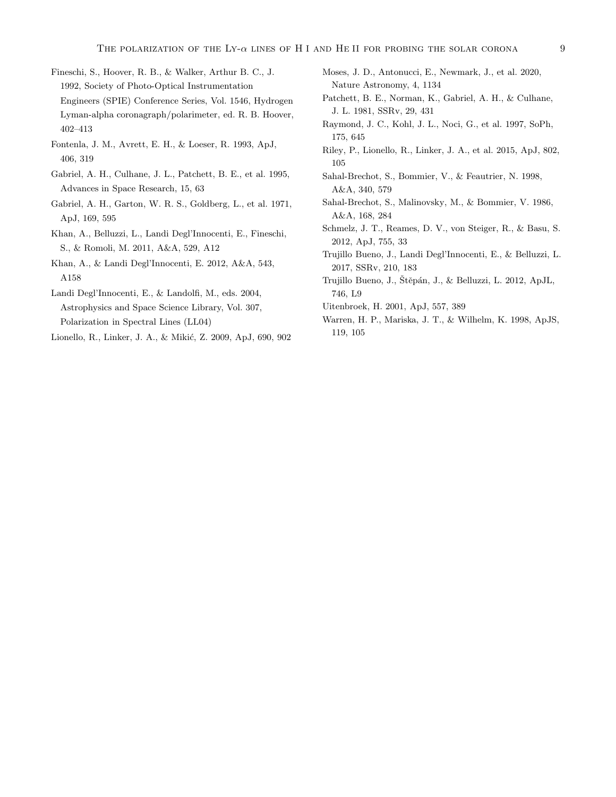- <span id="page-8-5"></span>Fineschi, S., Hoover, R. B., & Walker, Arthur B. C., J. 1992, Society of Photo-Optical Instrumentation Engineers (SPIE) Conference Series, Vol. 1546, Hydrogen Lyman-alpha coronagraph/polarimeter, ed. R. B. Hoover, 402–413
- <span id="page-8-15"></span>Fontenla, J. M., Avrett, E. H., & Loeser, R. 1993, ApJ, 406, 319
- <span id="page-8-11"></span>Gabriel, A. H., Culhane, J. L., Patchett, B. E., et al. 1995, Advances in Space Research, 15, 63
- <span id="page-8-3"></span>Gabriel, A. H., Garton, W. R. S., Goldberg, L., et al. 1971, ApJ, 169, 595
- <span id="page-8-8"></span>Khan, A., Belluzzi, L., Landi Degl'Innocenti, E., Fineschi, S., & Romoli, M. 2011, A&A, 529, A12
- <span id="page-8-9"></span>Khan, A., & Landi Degl'Innocenti, E. 2012, A&A, 543, A158
- <span id="page-8-1"></span>Landi Degl'Innocenti, E., & Landolfi, M., eds. 2004, Astrophysics and Space Science Library, Vol. 307, Polarization in Spectral Lines (LL04)
- <span id="page-8-16"></span>Lionello, R., Linker, J. A., & Mikić, Z. 2009, ApJ, 690, 902
- <span id="page-8-4"></span>Moses, J. D., Antonucci, E., Newmark, J., et al. 2020, Nature Astronomy, 4, 1134
- <span id="page-8-13"></span>Patchett, B. E., Norman, K., Gabriel, A. H., & Culhane, J. L. 1981, SSRv, 29, 431
- <span id="page-8-12"></span>Raymond, J. C., Kohl, J. L., Noci, G., et al. 1997, SoPh, 175, 645
- <span id="page-8-17"></span>Riley, P., Lionello, R., Linker, J. A., et al. 2015, ApJ, 802, 105
- <span id="page-8-7"></span>Sahal-Brechot, S., Bommier, V., & Feautrier, N. 1998, A&A, 340, 579
- <span id="page-8-6"></span>Sahal-Brechot, S., Malinovsky, M., & Bommier, V. 1986, A&A, 168, 284
- <span id="page-8-18"></span>Schmelz, J. T., Reames, D. V., von Steiger, R., & Basu, S. 2012, ApJ, 755, 33
- <span id="page-8-0"></span>Trujillo Bueno, J., Landi Degl'Innocenti, E., & Belluzzi, L. 2017, SSRv, 210, 183
- <span id="page-8-10"></span>Trujillo Bueno, J., Štěpán, J., & Belluzzi, L. 2012, ApJL, 746, L9
- <span id="page-8-14"></span>Uitenbroek, H. 2001, ApJ, 557, 389
- <span id="page-8-2"></span>Warren, H. P., Mariska, J. T., & Wilhelm, K. 1998, ApJS, 119, 105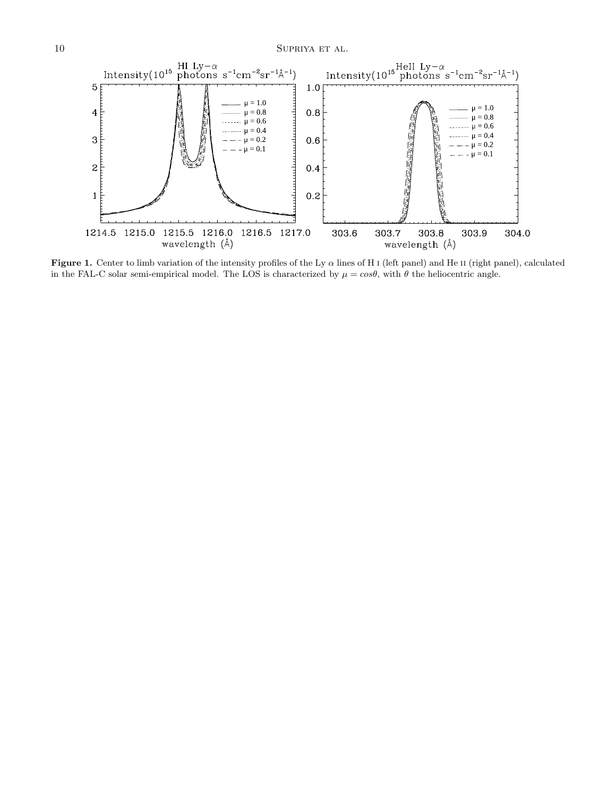

<span id="page-9-0"></span>Figure 1. Center to limb variation of the intensity profiles of the Ly  $\alpha$  lines of H I (left panel) and He II (right panel), calculated in the FAL-C solar semi-empirical model. The LOS is characterized by  $\mu = \cos\theta$ , with  $\theta$  the heliocentric angle.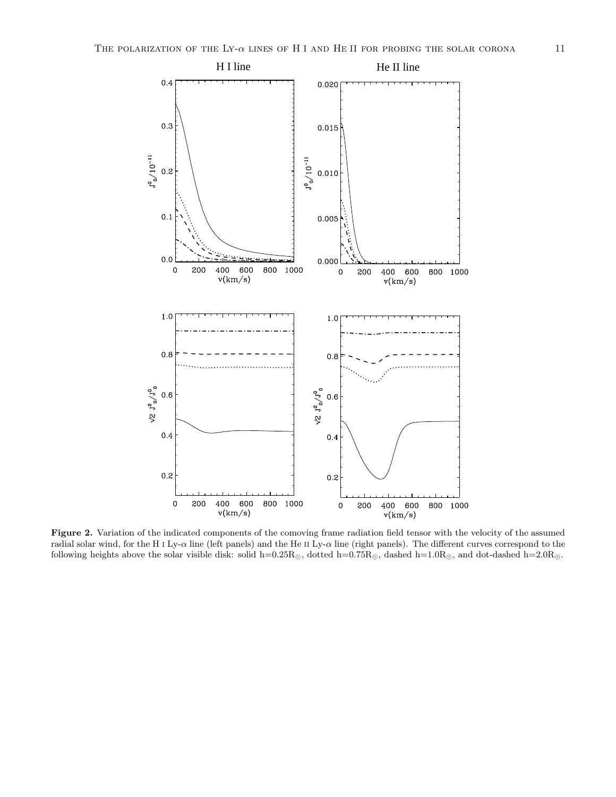

<span id="page-10-0"></span>Figure 2. Variation of the indicated components of the comoving frame radiation field tensor with the velocity of the assumed radial solar wind, for the H i Ly- $\alpha$  line (left panels) and the He II Ly- $\alpha$  line (right panels). The different curves correspond to the following heights above the solar visible disk: solid h=0.25 $R_{\odot}$ , dotted h=0.75 $R_{\odot}$ , dashed h=1.0 $R_{\odot}$ , and dot-dashed h=2.0 $R_{\odot}$ .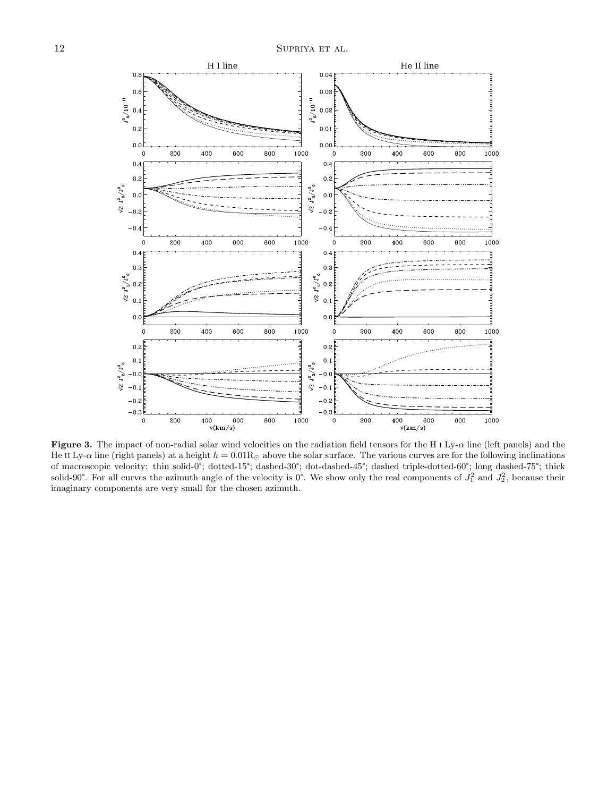

<span id="page-11-0"></span>Figure 3. The impact of non-radial solar wind velocities on the radiation field tensors for the H I Ly- $\alpha$  line (left panels) and the He II Ly- $\alpha$  line (right panels) at a height  $h = 0.01 R_{\odot}$  above the solar surface. The various curves are for the following inclinations of macroscopic velocity: thin solid-0°; dotted-15°; dashed-30°; dot-dashed-45°; dashed triple-dotted-60°; long dashed-75°; thick solid-90°. For all curves the azimuth angle of the velocity is 0°. We show only the real components of  $J_1^2$  and  $J_2^2$ , because their imaginary components are very small for the chosen azimuth.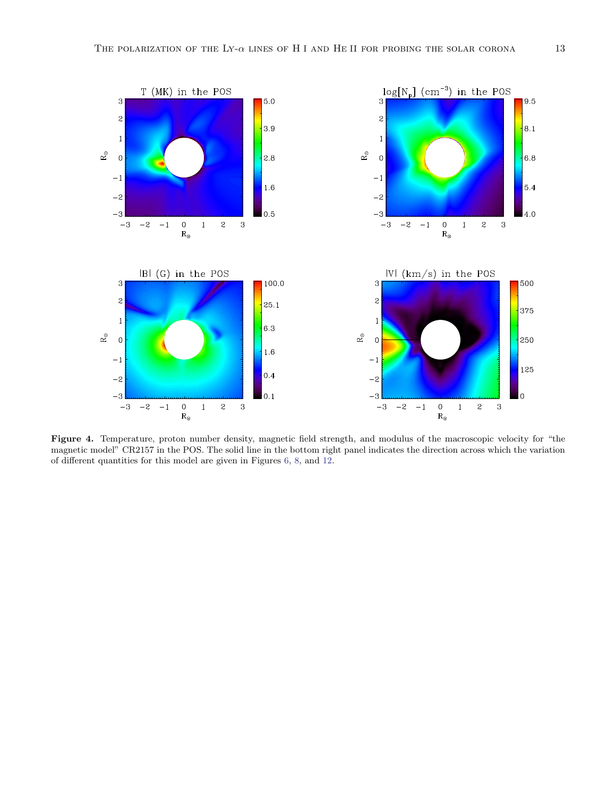

<span id="page-12-0"></span>Figure 4. Temperature, proton number density, magnetic field strength, and modulus of the macroscopic velocity for "the magnetic model" CR2157 in the POS. The solid line in the bottom right panel indicates the direction across which the variation of different quantities for this model are given in Figures [6,](#page-13-1) [8,](#page-14-1) and [12.](#page-17-0)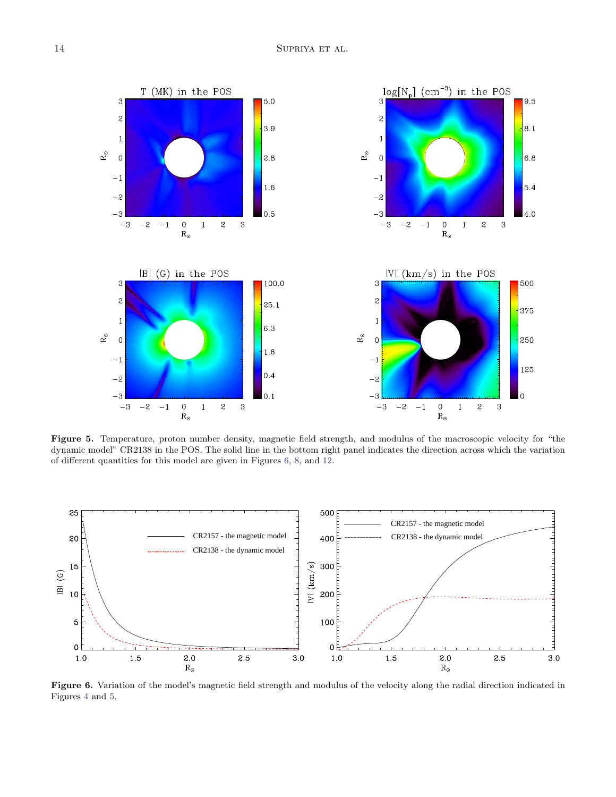

<span id="page-13-0"></span>Figure 5. Temperature, proton number density, magnetic field strength, and modulus of the macroscopic velocity for "the dynamic model" CR2138 in the POS. The solid line in the bottom right panel indicates the direction across which the variation of different quantities for this model are given in Figures [6,](#page-13-1) [8,](#page-14-1) and [12.](#page-17-0)



<span id="page-13-1"></span>Figure 6. Variation of the model's magnetic field strength and modulus of the velocity along the radial direction indicated in Figures [4](#page-12-0) and [5.](#page-13-0)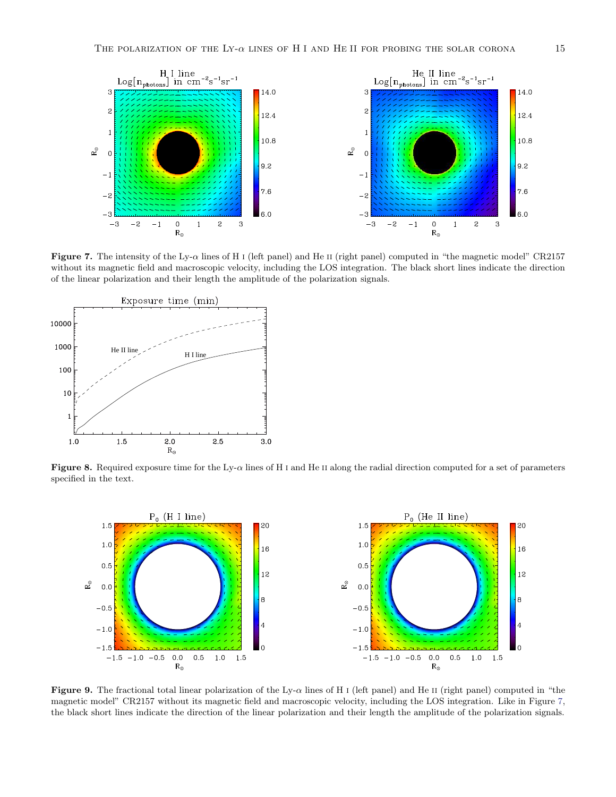

<span id="page-14-0"></span>Figure 7. The intensity of the Ly-α lines of H i (left panel) and He ii (right panel) computed in "the magnetic model" CR2157 without its magnetic field and macroscopic velocity, including the LOS integration. The black short lines indicate the direction of the linear polarization and their length the amplitude of the polarization signals.



<span id="page-14-1"></span>Figure 8. Required exposure time for the Ly- $\alpha$  lines of H i and He II along the radial direction computed for a set of parameters specified in the text.



<span id="page-14-2"></span>Figure 9. The fractional total linear polarization of the Ly- $\alpha$  lines of H i (left panel) and He II (right panel) computed in "the magnetic model" CR2157 without its magnetic field and macroscopic velocity, including the LOS integration. Like in Figure [7,](#page-14-0) the black short lines indicate the direction of the linear polarization and their length the amplitude of the polarization signals.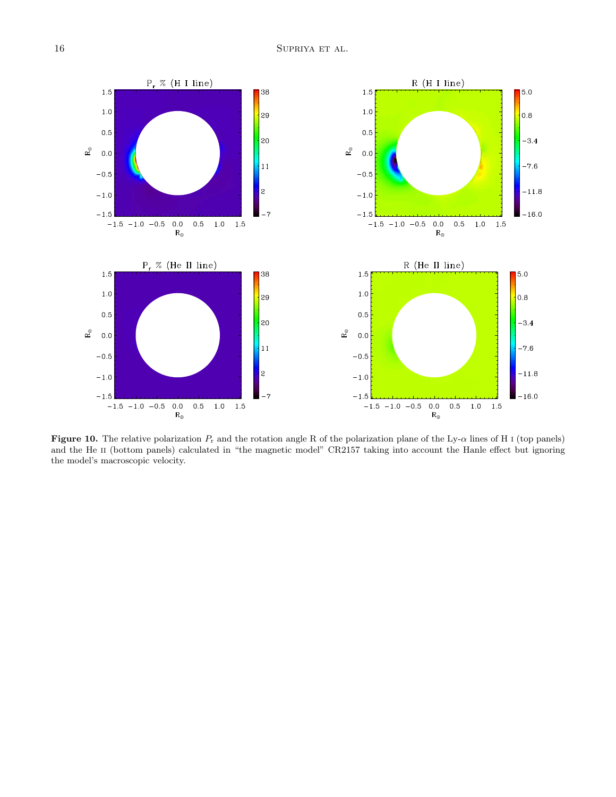

<span id="page-15-0"></span>Figure 10. The relative polarization  $P_r$  and the rotation angle R of the polarization plane of the Ly- $\alpha$  lines of H I (top panels) and the He II (bottom panels) calculated in "the magnetic model" CR2157 taking into account the Hanle effect but ignoring the model's macroscopic velocity.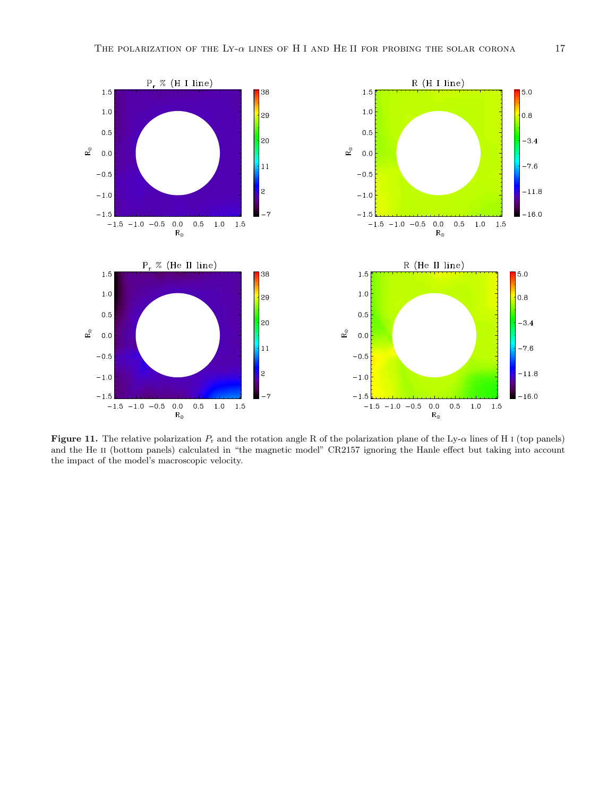

<span id="page-16-0"></span>**Figure 11.** The relative polarization  $P_r$  and the rotation angle R of the polarization plane of the Ly- $\alpha$  lines of H i (top panels) and the He II (bottom panels) calculated in "the magnetic model" CR2157 ignoring the Hanle effect but taking into account the impact of the model's macroscopic velocity.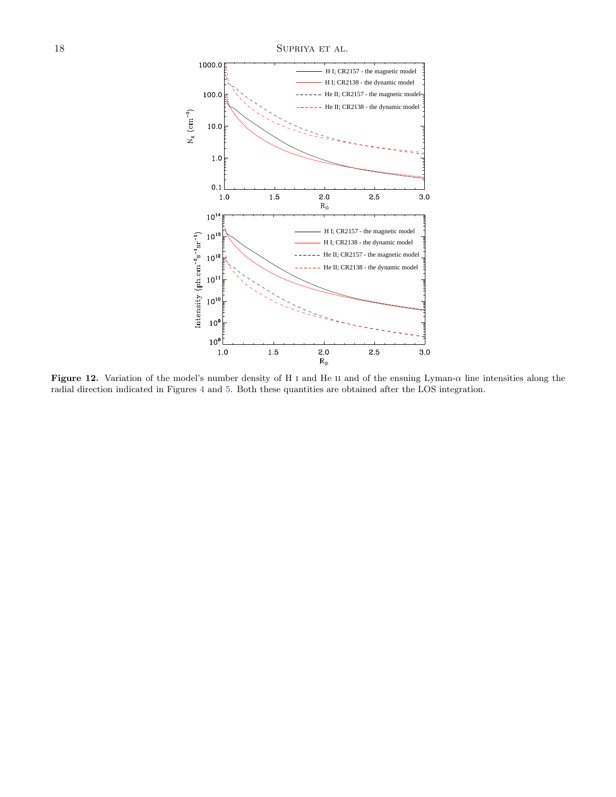

<span id="page-17-0"></span>Figure 12. Variation of the model's number density of H I and He II and of the ensuing Lyman- $\alpha$  line intensities along the radial direction indicated in Figures [4](#page-12-0) and [5.](#page-13-0) Both these quantities are obtained after the LOS integration.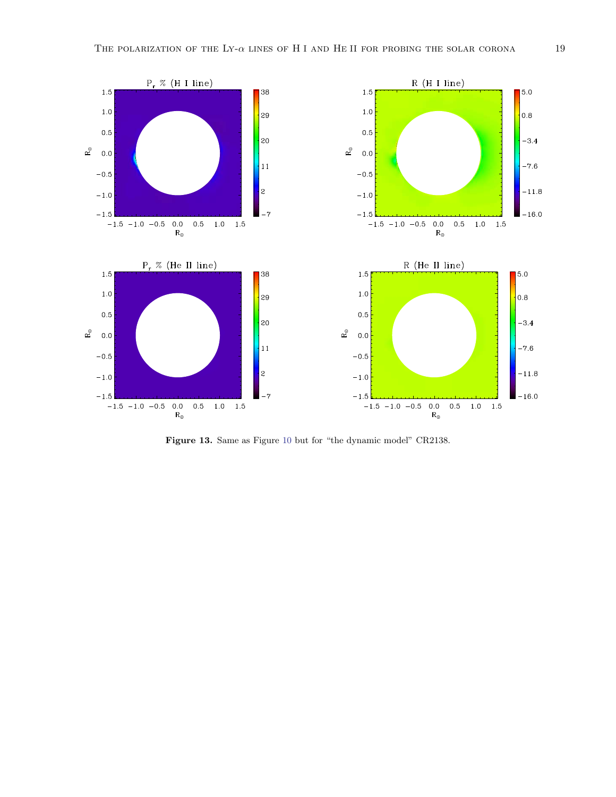

<span id="page-18-0"></span>Figure 13. Same as Figure [10](#page-15-0) but for "the dynamic model" CR2138.